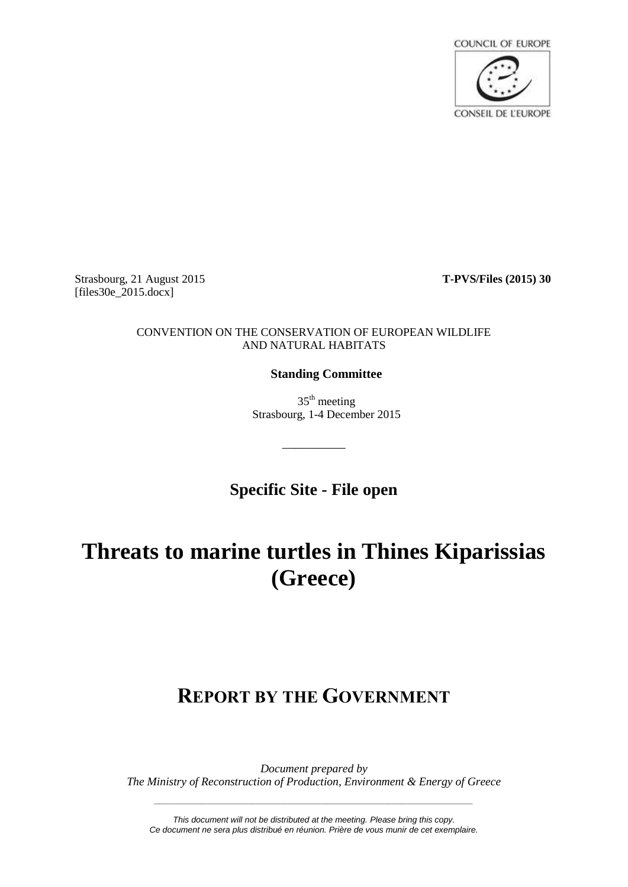

Strasbourg, 21 August 2015 **T-PVS/Files (2015) 30** [files30e\_2015.docx]

#### CONVENTION ON THE CONSERVATION OF EUROPEAN WILDLIFE AND NATURAL HABITATS

# **Standing Committee**

 $35<sup>th</sup>$  meeting Strasbourg, 1-4 December 2015

**Specific Site - File open**

\_\_\_\_\_\_\_\_\_\_

# **Threats to marine turtles in Thines Kiparissias (Greece)**

# **REPORT BY THE GOVERNMENT**

*Document prepared by The Ministry of Reconstruction of Production, Environment & Energy of Greece*

*This document will not be distributed at the meeting. Please bring this copy. Ce document ne sera plus distribué en réunion. Prière de vous munir de cet exemplaire.*

*\_\_\_\_\_\_\_\_\_\_\_\_\_\_\_\_\_\_\_\_\_\_\_\_\_\_\_\_\_\_\_\_\_\_\_\_\_\_\_\_\_\_\_\_\_\_\_\_\_\_\_\_\_\_\_\_\_\_\_\_\_\_\_\_\_\_\_\_*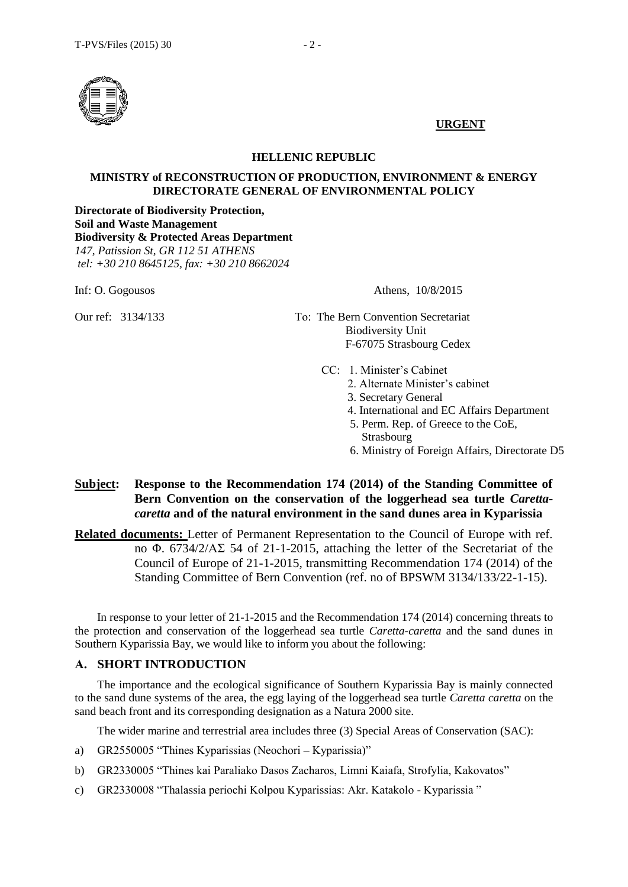

### **URGENT**

#### **HELLENIC REPUBLIC**

#### **MINISTRY of RECONSTRUCTION OF PRODUCTION, ENVIRONMENT & ENERGY DIRECTORATE GENERAL OF ENVIRONMENTAL POLICY**

**Directorate of Biodiversity Protection, Soil and Waste Management Biodiversity & Protected Areas Department**  *147, Patission St, GR 112 51 ATHENS tel: +30 210 8645125, fax: +30 210 8662024* 

Inf: O. Gogousos Athens, 10/8/2015

- Our ref: 3134/133 Το: The Bern Convention Secretariat Biodiversity Unit F-67075 Strasbourg Cedex
	- CC: 1. Minister's Cabinet
		- 2. Alternate Minister's cabinet
		- 3. Secretary General
		- 4. International and EC Affairs Department
		- 5. Perm. Rep. of Greece to the CoE, Strasbourg
		- 6. Ministry of Foreign Affairs, Directorate D5

# **Subject: Response to the Recommendation 174 (2014) of the Standing Committee of Bern Convention on the conservation of the loggerhead sea turtle** *Carettacaretta* **and of the natural environment in the sand dunes area in Kyparissia**

**Related documents:** Letter of Permanent Representation to the Council of Europe with ref. no Φ. 6734/2/ΑΣ 54 of 21-1-2015, attaching the letter of the Secretariat of the Council of Europe of 21-1-2015, transmitting Recommendation 174 (2014) of the Standing Committee of Bern Convention (ref. no of BPSWM 3134/133/22-1-15).

In response to your letter of 21-1-2015 and the Recommendation 174 (2014) concerning threats to the protection and conservation of the loggerhead sea turtle *Caretta-caretta* and the sand dunes in Southern Kyparissia Bay, we would like to inform you about the following:

## **Α. SHORT INTRODUCTION**

The importance and the ecological significance of Southern Kyparissia Bay is mainly connected to the sand dune systems of the area, the egg laying of the loggerhead sea turtle *Caretta caretta* on the sand beach front and its corresponding designation as a Natura 2000 site.

The wider marine and terrestrial area includes three (3) Special Areas of Conservation (SAC):

- a) GR2550005 "Thines Kyparissias (Neochori Kyparissia)"
- b) GR2330005 "Thines kai Paraliako Dasos Zacharos, Limni Kaiafa, Strofylia, Kakovatos"
- c) GR2330008 "Thalassia periochi Kolpou Kyparissias: Akr. Katakolo Kyparissia "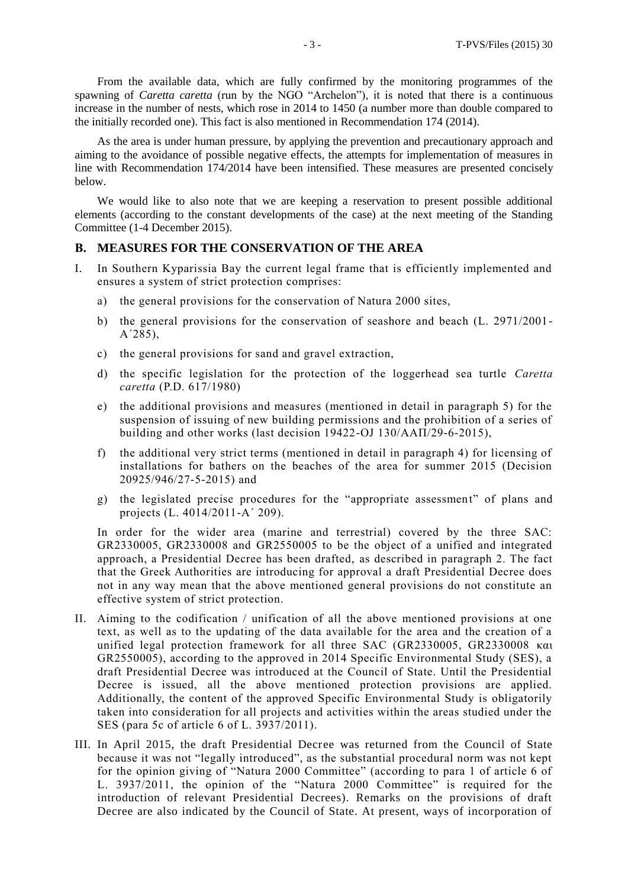From the available data, which are fully confirmed by the monitoring programmes of the spawning of *Caretta caretta* (run by the NGO "Archelon"), it is noted that there is a continuous increase in the number of nests, which rose in 2014 to 1450 (a number more than double compared to the initially recorded one). This fact is also mentioned in Recommendation 174 (2014).

As the area is under human pressure, by applying the prevention and precautionary approach and aiming to the avoidance of possible negative effects, the attempts for implementation of measures in line with Recommendation 174/2014 have been intensified. These measures are presented concisely below.

We would like to also note that we are keeping a reservation to present possible additional elements (according to the constant developments of the case) at the next meeting of the Standing Committee (1-4 December 2015).

#### **Β. MEASURES FOR THE CONSERVATION OF THE AREA**

- I. In Southern Kyparissia Bay the current legal frame that is efficiently implemented and ensures a system of strict protection comprises:
	- a) the general provisions for the conservation of Natura 2000 sites,
	- b) the general provisions for the conservation of seashore and beach (L. 2971/2001- Α΄285),
	- c) the general provisions for sand and gravel extraction,
	- d) the specific legislation for the protection of the loggerhead sea turtle *Caretta caretta* (P.D. 617/1980)
	- e) the additional provisions and measures (mentioned in detail in paragraph 5) for the suspension of issuing of new building permissions and the prohibition of a series of building and other works (last decision 19422-OJ 130/ΑΑΠ/29-6-2015),
	- f) the additional very strict terms (mentioned in detail in paragraph 4) for licensing of installations for bathers on the beaches of the area for summer 2015 (Decision 20925/946/27-5-2015) and
	- g) the legislated precise procedures for the "appropriate assessment" of plans and projects (L. 4014/2011-Α΄ 209).

In order for the wider area (marine and terrestrial) covered by the three SAC: GR2330005, GR2330008 and GR2550005 to be the object of a unified and integrated approach, a Presidential Decree has been drafted, as described in paragraph 2. The fact that the Greek Authorities are introducing for approval a draft Presidential Decree does not in any way mean that the above mentioned general provisions do not constitute an effective system of strict protection.

- II. Aiming to the codification / unification of all the above mentioned provisions at one text, as well as to the updating of the data available for the area and the creation of a unified legal protection framework for all three SAC (GR2330005, GR2330008 και GR2550005), according to the approved in 2014 Specific Environmental Study (SES), a draft Presidential Decree was introduced at the Council of State. Until the Presidential Decree is issued, all the above mentioned protection provisions are applied. Additionally, the content of the approved Specific Environmental Study is obligatorily taken into consideration for all projects and activities within the areas studied under the SES (para 5c of article 6 of L. 3937/2011).
- III. In April 2015, the draft Presidential Decree was returned from the Council of State because it was not "legally introduced", as the substantial procedural norm was not kept for the opinion giving of "Natura 2000 Committee" (according to para 1 of article 6 of L. 3937/2011, the opinion of the "Natura 2000 Committee" is required for the introduction of relevant Presidential Decrees). Remarks on the provisions of draft Decree are also indicated by the Council of State. At present, ways of incorporation of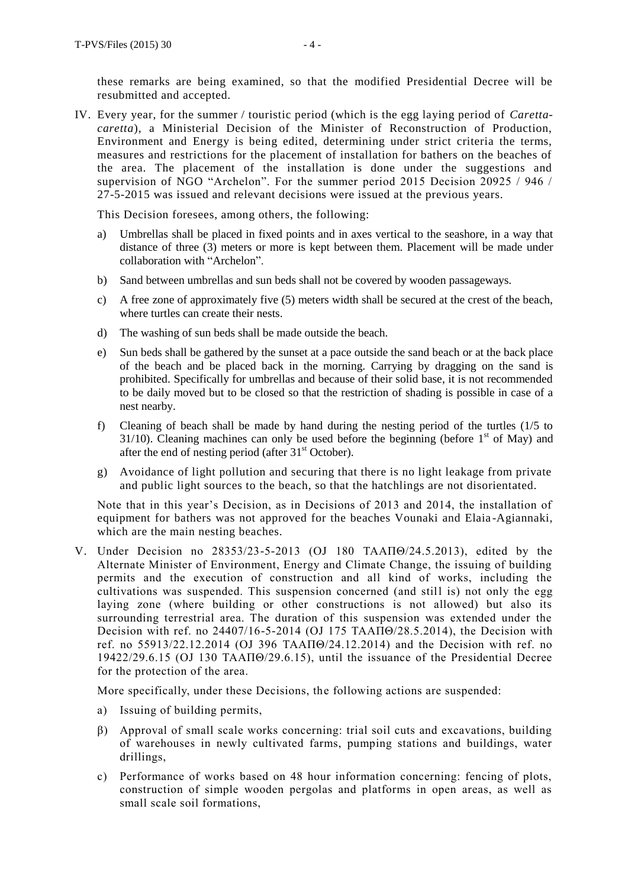IV. Every year, for the summer / touristic period (which is the egg laying period of *Carettacaretta*), a Ministerial Decision of the Minister of Reconstruction of Production, Environment and Energy is being edited, determining under strict criteria the terms, measures and restrictions for the placement of installation for bathers on the beaches of the area. The placement of the installation is done under the suggestions and supervision of NGO "Archelon". For the summer period 2015 Decision 20925 / 946 / 27-5-2015 was issued and relevant decisions were issued at the previous years.

This Decision foresees, among others, the following:

- a) Umbrellas shall be placed in fixed points and in axes vertical to the seashore, in a way that distance of three (3) meters or more is kept between them. Placement will be made under collaboration with "Archelon".
- b) Sand between umbrellas and sun beds shall not be covered by wooden passageways.
- c) A free zone of approximately five (5) meters width shall be secured at the crest of the beach, where turtles can create their nests.
- d) The washing of sun beds shall be made outside the beach.
- e) Sun beds shall be gathered by the sunset at a pace outside the sand beach or at the back place of the beach and be placed back in the morning. Carrying by dragging on the sand is prohibited. Specifically for umbrellas and because of their solid base, it is not recommended to be daily moved but to be closed so that the restriction of shading is possible in case of a nest nearby.
- f) Cleaning of beach shall be made by hand during the nesting period of the turtles (1/5 to 31/10). Cleaning machines can only be used before the beginning (before  $1<sup>st</sup>$  of May) and after the end of nesting period (after  $31<sup>st</sup>$  October).
- g) Avoidance of light pollution and securing that there is no light leakage from private and public light sources to the beach, so that the hatchlings are not disorientated.

Note that in this year's Decision, as in Decisions of 2013 and 2014, the installation of equipment for bathers was not approved for the beaches Vounaki and Elaia -Agiannaki, which are the main nesting beaches.

V. Under Decision no 28353/23-5-2013 (OJ 180 ΤΑΑΠΘ/24.5.2013), edited by the Alternate Minister of Environment, Energy and Climate Change, the issuing of building permits and the execution of construction and all kind of works, including the cultivations was suspended. This suspension concerned (and still is) not only the egg laying zone (where building or other constructions is not allowed) but also its surrounding terrestrial area. The duration of this suspension was extended under the Decision with ref. no 24407/16-5-2014 (OJ 175 ΤΑΑΠΘ/28.5.2014), the Decision with ref. no 55913/22.12.2014 (OJ 396 ΤΑΑΠΘ/24.12.2014) and the Decision with ref. no 19422/29.6.15 (OJ 130 ΤΑΑΠΘ/29.6.15), until the issuance of the Presidential Decree for the protection of the area.

More specifically, under these Decisions, the following actions are suspended:

- a) Issuing of building permits,
- β) Approval of small scale works concerning: trial soil cuts and excavations, building of warehouses in newly cultivated farms, pumping stations and buildings, water drillings,
- c) Performance of works based on 48 hour information concerning: fencing of plots, construction of simple wooden pergolas and platforms in open areas, as well as small scale soil formations,